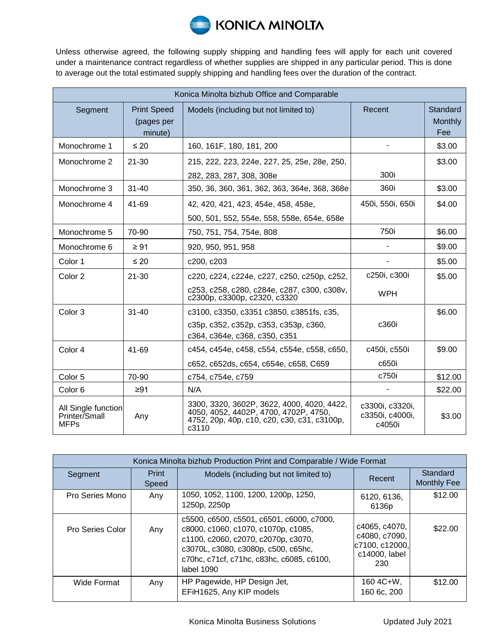

Unless otherwise agreed, the following supply shipping and handling fees will apply for each unit covered under a maintenance contract regardless of whether supplies are shipped in any particular period. This is done to average out the total estimated supply shipping and handling fees over the duration of the contract.

| Konica Minolta bizhub Office and Comparable         |                                             |                                                                                                                                             |                                              |                                   |  |  |  |
|-----------------------------------------------------|---------------------------------------------|---------------------------------------------------------------------------------------------------------------------------------------------|----------------------------------------------|-----------------------------------|--|--|--|
| Segment                                             | <b>Print Speed</b><br>(pages per<br>minute) | Models (including but not limited to)                                                                                                       | Recent                                       | Standard<br><b>Monthly</b><br>Fee |  |  |  |
| Monochrome 1                                        | $\leq 20$                                   | 160, 161F, 180, 181, 200                                                                                                                    |                                              | \$3.00                            |  |  |  |
| Monochrome 2                                        | $21 - 30$                                   | 215, 222, 223, 224e, 227, 25, 25e, 28e, 250,                                                                                                |                                              | \$3.00                            |  |  |  |
|                                                     |                                             | 282, 283, 287, 308, 308e                                                                                                                    | 300i                                         |                                   |  |  |  |
| Monochrome 3                                        | $31 - 40$                                   | 350, 36, 360, 361, 362, 363, 364e, 368, 368e                                                                                                | 360i                                         | \$3.00                            |  |  |  |
| Monochrome 4                                        | 41-69                                       | 42, 420, 421, 423, 454e, 458, 458e,                                                                                                         | 450i, 550i, 650i                             | \$4.00                            |  |  |  |
|                                                     |                                             | 500, 501, 552, 554e, 558, 558e, 654e, 658e                                                                                                  |                                              |                                   |  |  |  |
| Monochrome 5                                        | 70-90                                       | 750, 751, 754, 754e, 808                                                                                                                    | 750i                                         | \$6.00                            |  |  |  |
| Monochrome 6                                        | $\geq 91$                                   | 920, 950, 951, 958                                                                                                                          |                                              | \$9.00                            |  |  |  |
| Color 1                                             | $\leq 20$                                   | c200, c203                                                                                                                                  |                                              | \$5.00                            |  |  |  |
| Color 2                                             | $21 - 30$                                   | c220, c224, c224e, c227, c250, c250p, c252,                                                                                                 | c250i, c300i                                 | \$5.00                            |  |  |  |
|                                                     |                                             | c253, c258, c280, c284e, c287, c300, c308v,<br>c2300p, c3300p, c2320, c3320                                                                 | <b>WPH</b>                                   |                                   |  |  |  |
| Color <sub>3</sub>                                  | $31 - 40$                                   | c3100, c3350, c3351 c3850, c3851fs, c35,                                                                                                    |                                              | \$6.00                            |  |  |  |
|                                                     |                                             | c35p, c352, c352p, c353, c353p, c360,<br>c364, c364e, c368, c350, c351                                                                      | c360i                                        |                                   |  |  |  |
| Color 4                                             | 41-69                                       | c454, c454e, c458, c554, c554e, c558, c650,                                                                                                 | c450i, c550i                                 | \$9.00                            |  |  |  |
|                                                     |                                             | c652, c652ds, c654, c654e, c658, C659                                                                                                       | c650i                                        |                                   |  |  |  |
| Color 5                                             | 70-90                                       | c754, c754e, c759                                                                                                                           | c750i                                        | \$12.00                           |  |  |  |
| Color <sub>6</sub>                                  | $\geq 91$                                   | N/A                                                                                                                                         |                                              | \$22.00                           |  |  |  |
| All Single function<br>Printer/Small<br><b>MFPs</b> | Any                                         | 3300, 3320, 3602P, 3622, 4000, 4020, 4422,<br>4050, 4052, 4402P, 4700, 4702P, 4750,<br>4752, 20p, 40p, c10, c20, c30, c31, c3100p,<br>c3110 | c3300i, c3320i,<br>c3350i, c4000i,<br>c4050i | \$3.00                            |  |  |  |

| Konica Minolta bizhub Production Print and Comparable / Wide Format |                |                                                                                                                                                                                                                           |                                                                          |                                |  |  |
|---------------------------------------------------------------------|----------------|---------------------------------------------------------------------------------------------------------------------------------------------------------------------------------------------------------------------------|--------------------------------------------------------------------------|--------------------------------|--|--|
| Segment                                                             | Print<br>Speed | Models (including but not limited to)                                                                                                                                                                                     | Recent                                                                   | Standard<br><b>Monthly Fee</b> |  |  |
| Pro Series Mono                                                     | Any            | 1050, 1052, 1100, 1200, 1200p, 1250,<br>1250p, 2250p                                                                                                                                                                      | 6120, 6136,<br>6136p                                                     | \$12.00                        |  |  |
| Pro Series Color                                                    | Any            | c5500, c6500, c5501, c6501, c6000, c7000,<br>c8000, c1060, c1070, c1070p, c1085,<br>c1100, c2060, c2070, c2070p, c3070,<br>c3070L, c3080, c3080p, c500, c65hc,<br>c70hc, c71cf, c71hc, c83hc, c6085, c6100,<br>label 1090 | c4065, c4070,<br>c4080, c7090,<br>c7100, c12000,<br>c14000, label<br>230 | \$22.00                        |  |  |
| Wide Format                                                         | Any            | HP Pagewide, HP Design Jet,<br>EFiH1625, Any KIP models                                                                                                                                                                   | $160 4C + W$ ,<br>160 6c, 200                                            | \$12.00                        |  |  |